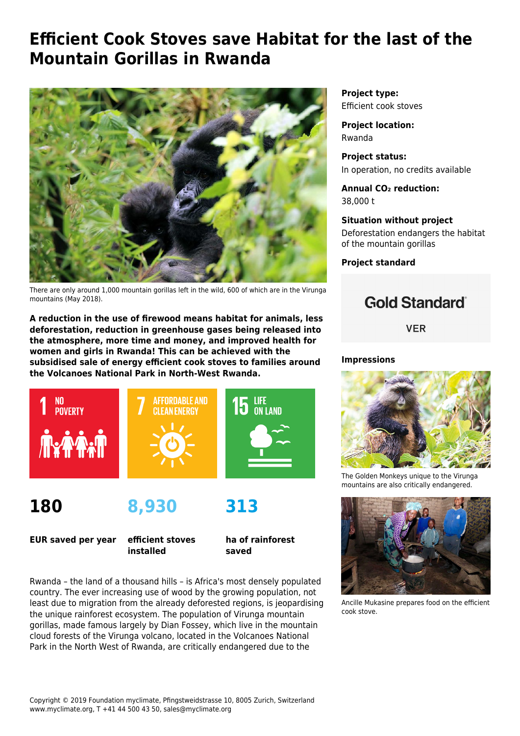# **Efficient Cook Stoves save Habitat for the last of the Mountain Gorillas in Rwanda**



There are only around 1,000 mountain gorillas left in the wild, 600 of which are in the Virunga mountains (May 2018).

**A reduction in the use of firewood means habitat for animals, less deforestation, reduction in greenhouse gases being released into the atmosphere, more time and money, and improved health for women and girls in Rwanda! This can be achieved with the subsidised sale of energy efficient cook stoves to families around the Volcanoes National Park in North-West Rwanda.**



**180**

**8,930**

**EUR saved per year**

**efficient stoves installed**

**ha of rainforest saved**

**313**

Rwanda – the land of a thousand hills – is Africa's most densely populated country. The ever increasing use of wood by the growing population, not least due to migration from the already deforested regions, is jeopardising the unique rainforest ecosystem. The population of Virunga mountain gorillas, made famous largely by Dian Fossey, which live in the mountain cloud forests of the Virunga volcano, located in the Volcanoes National Park in the North West of Rwanda, are critically endangered due to the

**Project type:** Efficient cook stoves

**Project location:** Rwanda

**Project status:** In operation, no credits available

**Annual CO₂ reduction:** 38,000 t

**Situation without project** Deforestation endangers the habitat of the mountain gorillas

**Project standard**

## **Gold Standard**®

**VER** 

### **Impressions**



The Golden Monkeys unique to the Virunga mountains are also critically endangered.



Ancille Mukasine prepares food on the efficient cook stove.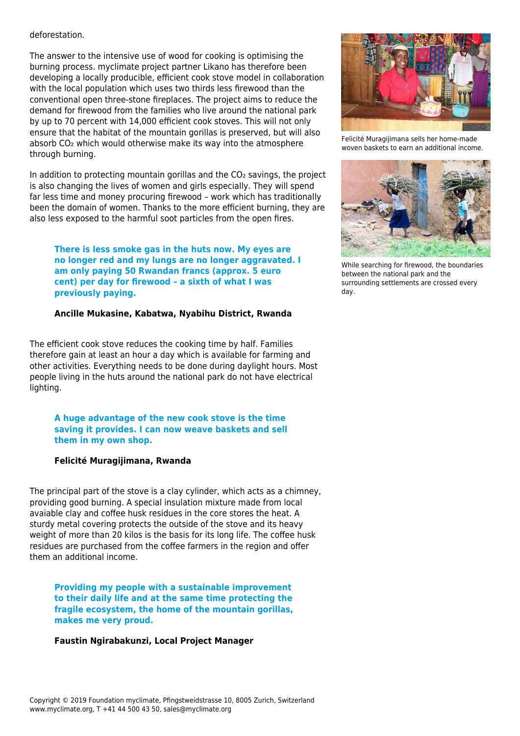#### deforestation.

The answer to the intensive use of wood for cooking is optimising the burning process. myclimate project partner Likano has therefore been developing a locally producible, efficient cook stove model in collaboration with the local population which uses two thirds less firewood than the conventional open three-stone fireplaces. The project aims to reduce the demand for firewood from the families who live around the national park by up to 70 percent with 14,000 efficient cook stoves. This will not only ensure that the habitat of the mountain gorillas is preserved, but will also absorb CO<sub>2</sub> which would otherwise make its way into the atmosphere through burning.

In addition to protecting mountain gorillas and the CO<sub>2</sub> savings, the project is also changing the lives of women and girls especially. They will spend far less time and money procuring firewood – work which has traditionally been the domain of women. Thanks to the more efficient burning, they are also less exposed to the harmful soot particles from the open fires.

**There is less smoke gas in the huts now. My eyes are no longer red and my lungs are no longer aggravated. I am only paying 50 Rwandan francs (approx. 5 euro cent) per day for firewood – a sixth of what I was previously paying.** 

#### **Ancille Mukasine, Kabatwa, Nyabihu District, Rwanda**

The efficient cook stove reduces the cooking time by half. Families therefore gain at least an hour a day which is available for farming and other activities. Everything needs to be done during daylight hours. Most people living in the huts around the national park do not have electrical lighting.

**A huge advantage of the new cook stove is the time saving it provides. I can now weave baskets and sell them in my own shop.** 

#### **Felicité Muragijimana, Rwanda**

The principal part of the stove is a clay cylinder, which acts as a chimney, providing good burning. A special insulation mixture made from local avaiable clay and coffee husk residues in the core stores the heat. A sturdy metal covering protects the outside of the stove and its heavy weight of more than 20 kilos is the basis for its long life. The coffee husk residues are purchased from the coffee farmers in the region and offer them an additional income.

**Providing my people with a sustainable improvement to their daily life and at the same time protecting the fragile ecosystem, the home of the mountain gorillas, makes me very proud.** 

#### **Faustin Ngirabakunzi, Local Project Manager**



Felicité Muragijimana sells her home-made woven baskets to earn an additional income.



While searching for firewood, the boundaries between the national park and the surrounding settlements are crossed every day.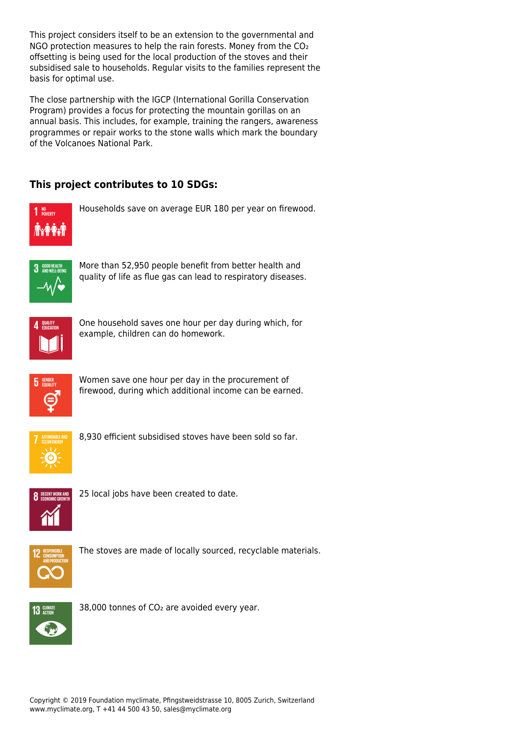This project considers itself to be an extension to the governmental and NGO protection measures to help the rain forests. Money from the CO<sub>2</sub> offsetting is being used for the local production of the stoves and their subsidised sale to households. Regular visits to the families represent the basis for optimal use.

The close partnership with the IGCP (International Gorilla Conservation Program) provides a focus for protecting the mountain gorillas on an annual basis. This includes, for example, training the rangers, awareness programmes or repair works to the stone walls which mark the boundary of the Volcanoes National Park.

### **This project contributes to 10 SDGs:**



Households save on average EUR 180 per year on firewood.



More than 52,950 people benefit from better health and quality of life as flue gas can lead to respiratory diseases.



One household saves one hour per day during which, for example, children can do homework.



Women save one hour per day in the procurement of firewood, during which additional income can be earned.



8,930 efficient subsidised stoves have been sold so far.



25 local jobs have been created to date.



The stoves are made of locally sourced, recyclable materials.



38,000 tonnes of CO<sub>2</sub> are avoided every year.